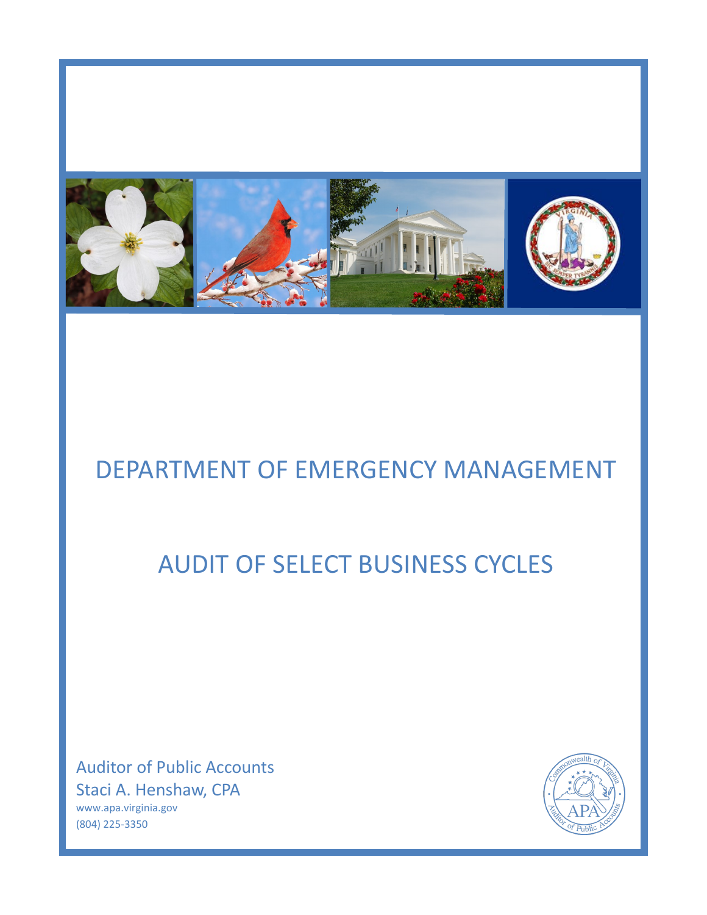

# DEPARTMENT OF EMERGENCY MANAGEMENT

# AUDIT OF SELECT BUSINESS CYCLES

Auditor of Public Accounts Staci A. Henshaw, CPA www.apa.virginia.gov (804) 225-3350

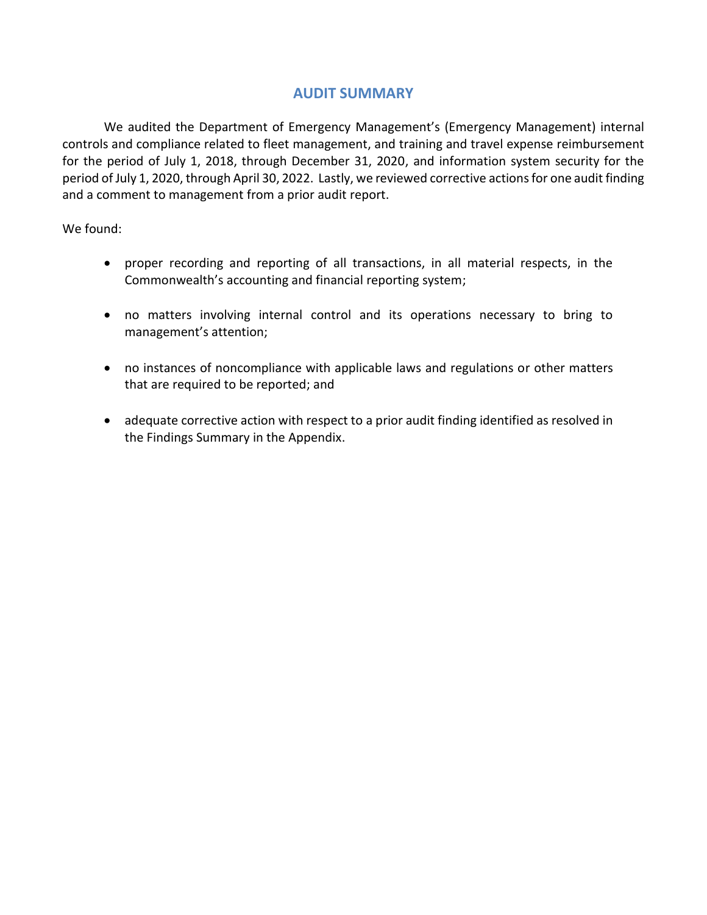### **AUDIT SUMMARY**

We audited the Department of Emergency Management's (Emergency Management) internal controls and compliance related to fleet management, and training and travel expense reimbursement for the period of July 1, 2018, through December 31, 2020, and information system security for the period of July 1, 2020, through April 30, 2022. Lastly, we reviewed corrective actions for one audit finding and a comment to management from a prior audit report.

We found:

- proper recording and reporting of all transactions, in all material respects, in the Commonwealth's accounting and financial reporting system;
- no matters involving internal control and its operations necessary to bring to management's attention;
- no instances of noncompliance with applicable laws and regulations or other matters that are required to be reported; and
- adequate corrective action with respect to a prior audit finding identified as resolved in the Findings Summary in the Appendix.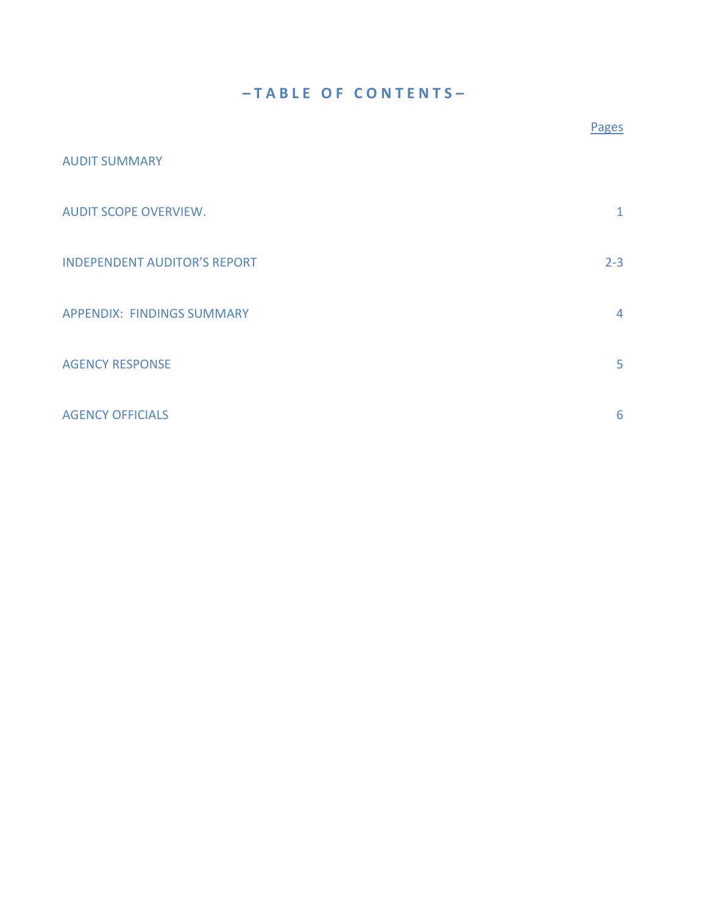## **– T A B L E O F C O N T E N T S –**

|                                     | Pages          |
|-------------------------------------|----------------|
| <b>AUDIT SUMMARY</b>                |                |
| <b>AUDIT SCOPE OVERVIEW.</b>        | $\mathbf{1}$   |
| <b>INDEPENDENT AUDITOR'S REPORT</b> | $2 - 3$        |
| <b>APPENDIX: FINDINGS SUMMARY</b>   | $\overline{4}$ |
| <b>AGENCY RESPONSE</b>              | 5              |
| <b>AGENCY OFFICIALS</b>             | 6              |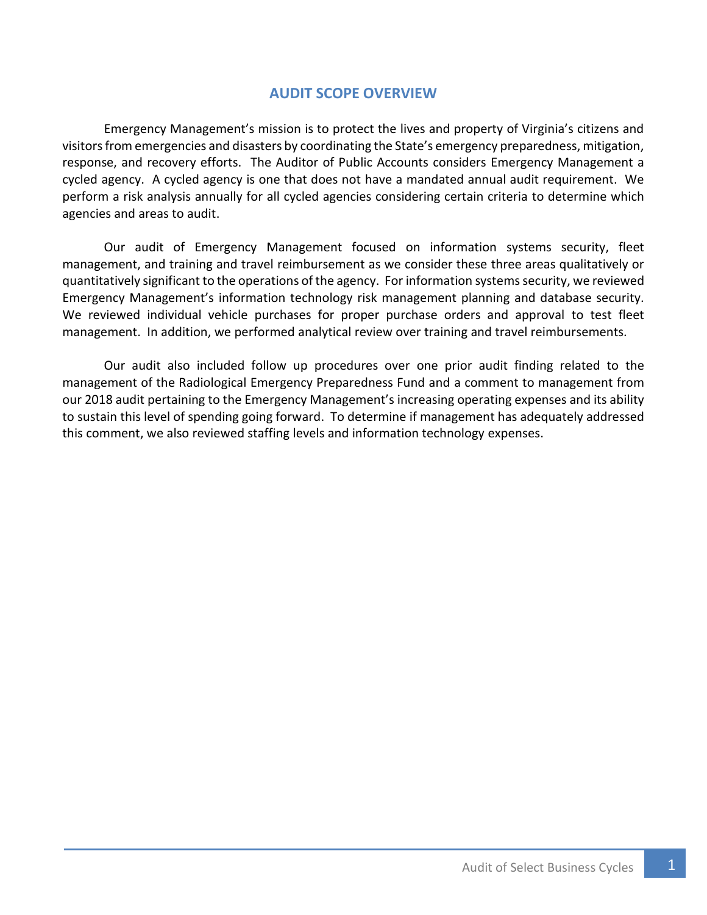### **AUDIT SCOPE OVERVIEW**

<span id="page-3-0"></span>Emergency Management's mission is to protect the lives and property of Virginia's citizens and visitors from emergencies and disasters by coordinating the State's emergency preparedness, mitigation, response, and recovery efforts. The Auditor of Public Accounts considers Emergency Management a cycled agency. A cycled agency is one that does not have a mandated annual audit requirement. We perform a risk analysis annually for all cycled agencies considering certain criteria to determine which agencies and areas to audit.

Our audit of Emergency Management focused on information systems security, fleet management, and training and travel reimbursement as we consider these three areas qualitatively or quantitatively significant to the operations of the agency. For information systems security, we reviewed Emergency Management's information technology risk management planning and database security. We reviewed individual vehicle purchases for proper purchase orders and approval to test fleet management. In addition, we performed analytical review over training and travel reimbursements.

Our audit also included follow up procedures over one prior audit finding related to the management of the Radiological Emergency Preparedness Fund and a comment to management from our 2018 audit pertaining to the Emergency Management's increasing operating expenses and its ability to sustain this level of spending going forward. To determine if management has adequately addressed this comment, we also reviewed staffing levels and information technology expenses.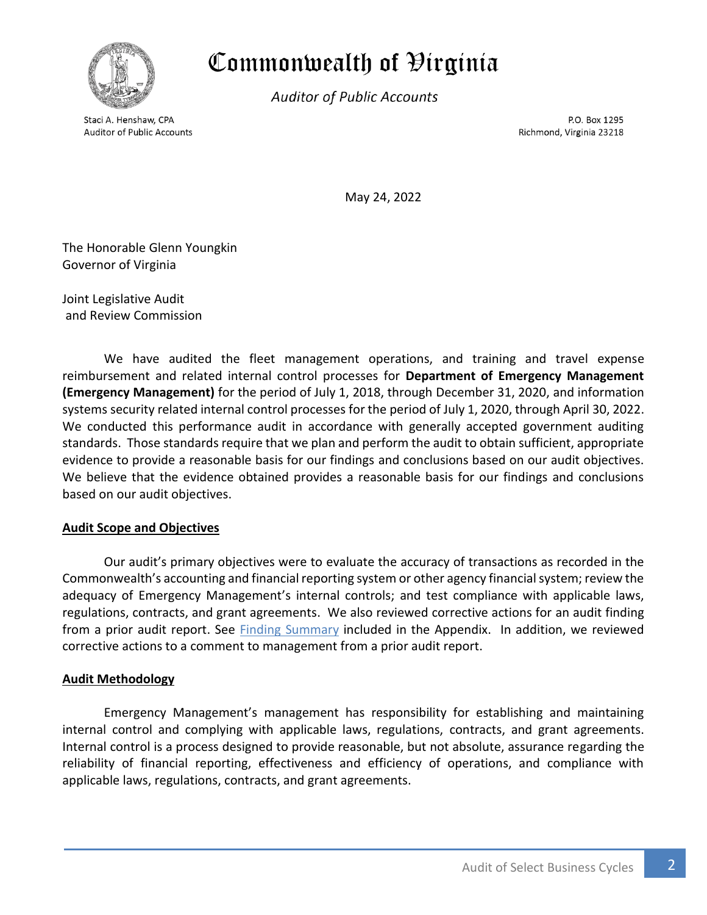<span id="page-4-0"></span>

## Commonwealth of Hirginia

**Auditor of Public Accounts** 

Staci A. Henshaw, CPA **Auditor of Public Accounts** 

P.O. Box 1295 Richmond, Virginia 23218

May 24, 2022

The Honorable Glenn Youngkin Governor of Virginia

Joint Legislative Audit and Review Commission

We have audited the fleet management operations, and training and travel expense reimbursement and related internal control processes for **Department of Emergency Management (Emergency Management)** for the period of July 1, 2018, through December 31, 2020, and information systems security related internal control processes for the period of July 1, 2020, through April 30, 2022. We conducted this performance audit in accordance with generally accepted government auditing standards. Those standards require that we plan and perform the audit to obtain sufficient, appropriate evidence to provide a reasonable basis for our findings and conclusions based on our audit objectives. We believe that the evidence obtained provides a reasonable basis for our findings and conclusions based on our audit objectives.

#### **Audit Scope and Objectives**

Our audit's primary objectives were to evaluate the accuracy of transactions as recorded in the Commonwealth's accounting and financial reporting system or other agency financial system; review the adequacy of Emergency Management's internal controls; and test compliance with applicable laws, regulations, contracts, and grant agreements. We also reviewed corrective actions for an audit finding from a prior audit report. See [Finding Summary](#page-6-1) included in the Appendix. In addition, we reviewed corrective actions to a comment to management from a prior audit report.

#### **Audit Methodology**

Emergency Management's management has responsibility for establishing and maintaining internal control and complying with applicable laws, regulations, contracts, and grant agreements. Internal control is a process designed to provide reasonable, but not absolute, assurance regarding the reliability of financial reporting, effectiveness and efficiency of operations, and compliance with applicable laws, regulations, contracts, and grant agreements.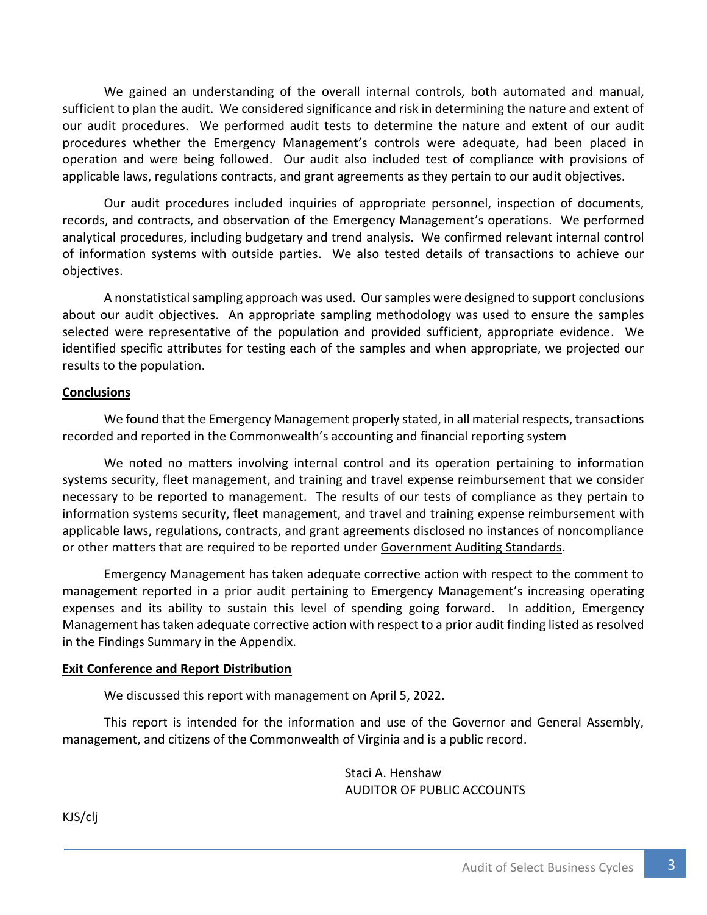We gained an understanding of the overall internal controls, both automated and manual, sufficient to plan the audit. We considered significance and risk in determining the nature and extent of our audit procedures. We performed audit tests to determine the nature and extent of our audit procedures whether the Emergency Management's controls were adequate, had been placed in operation and were being followed. Our audit also included test of compliance with provisions of applicable laws, regulations contracts, and grant agreements as they pertain to our audit objectives.

Our audit procedures included inquiries of appropriate personnel, inspection of documents, records, and contracts, and observation of the Emergency Management's operations. We performed analytical procedures, including budgetary and trend analysis. We confirmed relevant internal control of information systems with outside parties. We also tested details of transactions to achieve our objectives.

A nonstatistical sampling approach was used. Our samples were designed to support conclusions about our audit objectives. An appropriate sampling methodology was used to ensure the samples selected were representative of the population and provided sufficient, appropriate evidence. We identified specific attributes for testing each of the samples and when appropriate, we projected our results to the population.

#### **Conclusions**

We found that the Emergency Management properly stated, in all material respects, transactions recorded and reported in the Commonwealth's accounting and financial reporting system

We noted no matters involving internal control and its operation pertaining to information systems security, fleet management, and training and travel expense reimbursement that we consider necessary to be reported to management. The results of our tests of compliance as they pertain to information systems security, fleet management, and travel and training expense reimbursement with applicable laws, regulations, contracts, and grant agreements disclosed no instances of noncompliance or other matters that are required to be reported under Government Auditing Standards.

Emergency Management has taken adequate corrective action with respect to the comment to management reported in a prior audit pertaining to Emergency Management's increasing operating expenses and its ability to sustain this level of spending going forward. In addition, Emergency Management has taken adequate corrective action with respect to a prior audit finding listed as resolved in the Findings Summary in the Appendix.

#### **Exit Conference and Report Distribution**

We discussed this report with management on April 5, 2022.

This report is intended for the information and use of the Governor and General Assembly, management, and citizens of the Commonwealth of Virginia and is a public record.

> Staci A. Henshaw AUDITOR OF PUBLIC ACCOUNTS

KJS/clj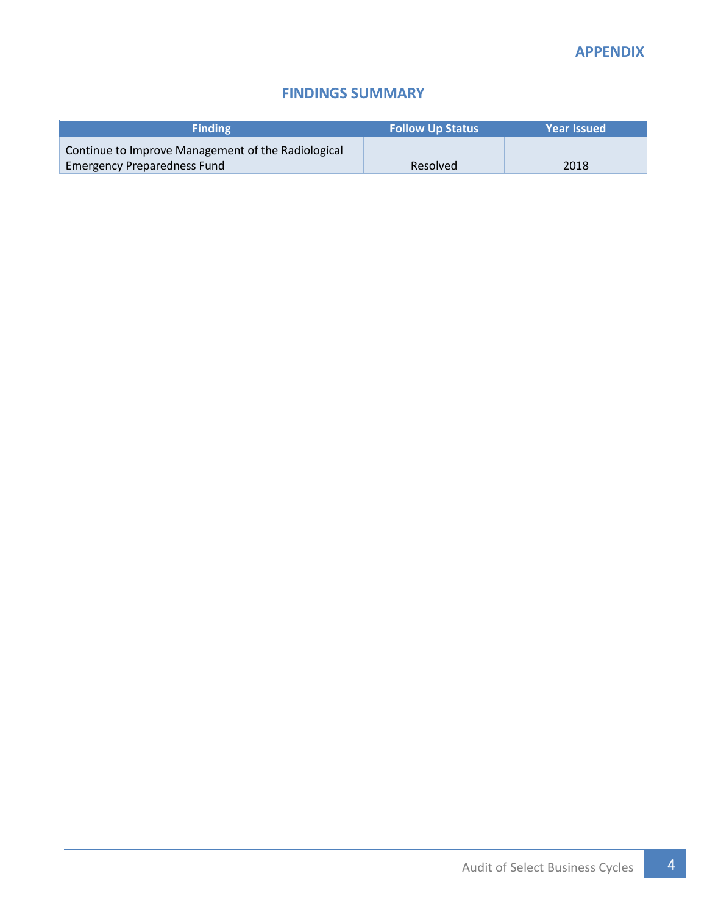### **FINDINGS SUMMARY**

<span id="page-6-1"></span><span id="page-6-0"></span>

| <b>Finding</b>                                     | <b>Follow Up Status</b> | <b>Year Issued</b> |
|----------------------------------------------------|-------------------------|--------------------|
| Continue to Improve Management of the Radiological |                         |                    |
| <b>Emergency Preparedness Fund</b>                 | Resolved                | 2018               |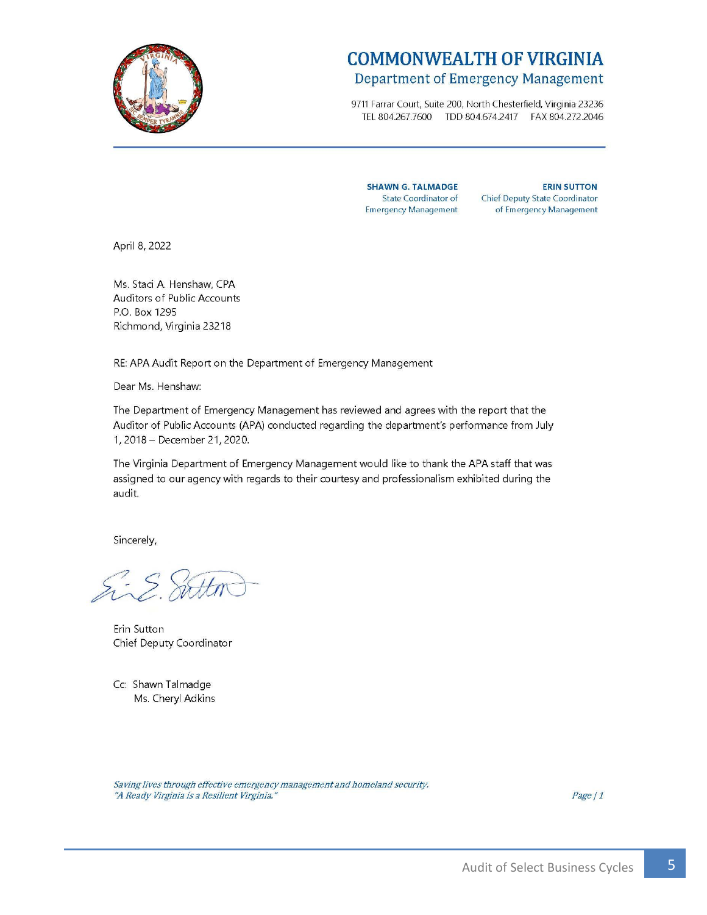<span id="page-7-0"></span>

## **COMMONWEALTH OF VIRGINIA** Department of Emergency Management

9711 Farrar Court, Suite 200, North Chesterfield, Virginia 23236 TEL 804.267.7600 TDD 804.674.2417 FAX 804.272.2046

**SHAWN G. TALMADGE** State Coordinator of **Emergency Management** 

**ERIN SUTTON** Chief Deputy State Coordinator of Emergency Management

April 8, 2022

Ms. Staci A. Henshaw, CPA Auditors of Public Accounts P.O. Box 1295 Richmond, Virginia 23218

RE: APA Audit Report on the Department of Emergency Management

Dear Ms. Henshaw:

The Department of Emergency Management has reviewed and agrees with the report that the Auditor of Public Accounts (APA) conducted regarding the department's performance from July 1, 2018 - December 21, 2020.

The Virginia Department of Emergency Management would like to thank the APA staff that was assigned to our agency with regards to their courtesy and professionalism exhibited during the audit.

Sincerely,

Sing. Sitten

Erin Sutton Chief Deputy Coordinator

Cc: Shawn Talmadge Ms. Cheryl Adkins

Saving lives through effective emergency management and homeland security. "A Ready Virginia is a Resilient Virginia."

Page / 1